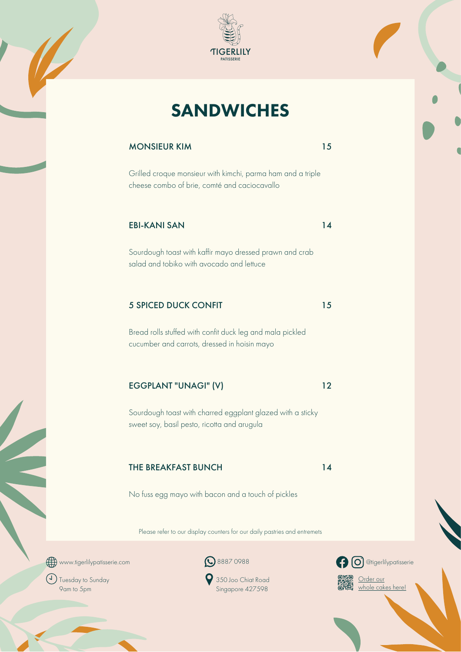

# **SANDWICHES**

### MONSIEUR KIM 15

cheese combo of brie, comté and caciocavallo<br> **EDI KANISAN** Grilled croque monsieur with kimchi, parma ham and a triple

#### EBI-KANI SAN 14

Sourdough toast with kaffir mayo dressed prawn and crab<br>salad and tobiko with avocado and lettuce Sourdough toast with kaffir mayo dressed prawn and crab salad and tobiko with avocado and lettuce

#### 5 SPICED DUCK CONFIT 15

Bread rolls stuffed with confit duck leg and mala pickled cucumber and carrots, dressed in hoisin mayo

### EGGPLANT "UNAGI" (V) 12

Sourdough toast with charred eggplant glazed with a sticky sweet soy, basil pesto, ricotta and arugula

### THE BREAKFAST BUNCH 14

No fuss egg mayo with bacon and a touch of pickles

Please refer to our display counters for our daily pastries and entremets





(J) Tuesday to Sunday 9am to 5pm

350 Joo Chiat Road Singapore 427598